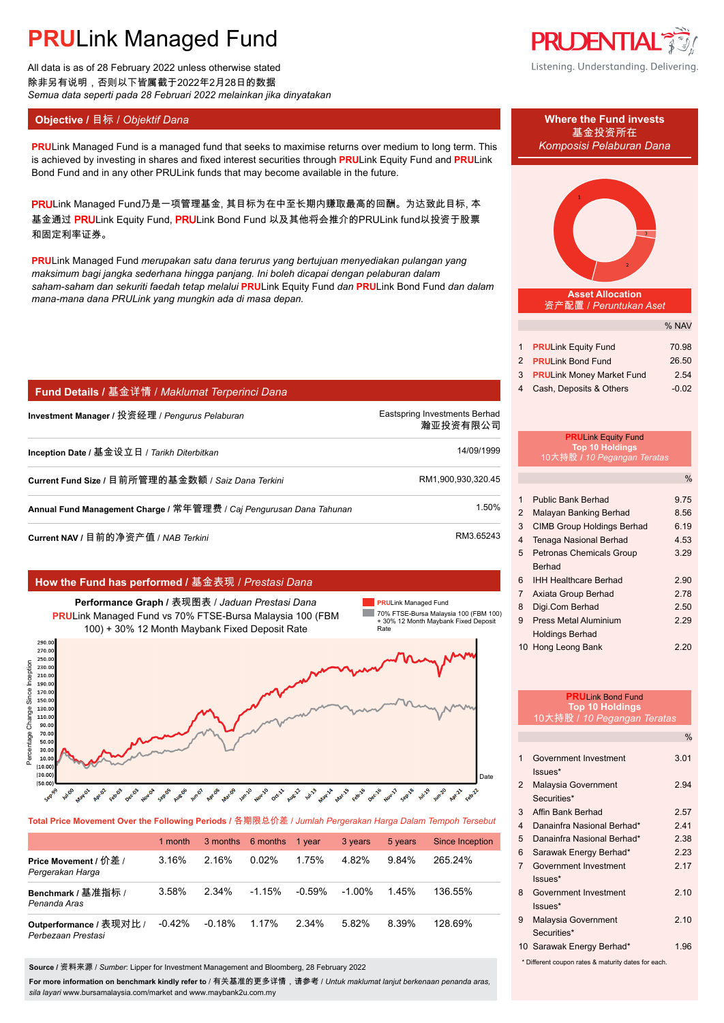All data is as of 28 February 2022 unless otherwise stated 除非另有说明,否则以下皆属截于2022年2月28日的数据 *Semua data seperti pada 28 Februari 2022 melainkan jika dinyatakan*

**PRULink Managed Fund is a managed fund that seeks to maximise returns over medium to long term. This** *Komposisi Pelaburan Dana* is achieved by investing in shares and fixed interest securities through **PRU**Link Equity Fund and **PRU**Link Bond Fund and in any other PRULink funds that may become available in the future.

PRULink Managed Fund乃是一项管理基金, 其目标为在中至长期内赚取最高的回酬。为达致此目标, 本 基金通过 PRULink Equity Fund, PRULink Bond Fund 以及其他将会推介的PRULink fund以投资于股票 和固定利率证券。

**PRU**Link Managed Fund *merupakan satu dana terurus yang bertujuan menyediakan pulangan yang maksimum bagi jangka sederhana hingga panjang. Ini boleh dicapai dengan pelaburan dalam saham-saham dan sekuriti faedah tetap melalui* **PRU**Link Equity Fund *dan* **PRU**Link Bond Fund *dan dalam mana-mana dana PRULink yang mungkin ada di masa depan.*

## **Fund Details /** 基金详情 / *Maklumat Terperinci Dana*

| Investment Manager / 投资经理 / Pengurus Pelaburan                      | Eastspring Investments Berhad<br>瀚亚投资有限公司 |
|---------------------------------------------------------------------|-------------------------------------------|
| Inception Date / 基金设立日 / Tarikh Diterbitkan                         | 14/09/1999                                |
| Current Fund Size / 目前所管理的基金数额 / Saiz Dana Terkini                  | RM1,900,930,320.45                        |
| Annual Fund Management Charge / 常年管理费 / Caj Pengurusan Dana Tahunan | 1.50%                                     |
| Current NAV / 目前的净资产值 / NAB Terkini                                 | RM3.65243                                 |

### **How the Fund has performed /** 基金表现 / *Prestasi Dana*



**Total Price Movement Over the Following Periods /** 各期限总价差 / *Jumlah Pergerakan Harga Dalam Tempoh Tersebut*

|                                               | 1 month  |          | 3 months 6 months | 1 vear   | 3 years | 5 years | <b>Since Inception</b> |
|-----------------------------------------------|----------|----------|-------------------|----------|---------|---------|------------------------|
| Price Movement / 价差 /<br>Pergerakan Harga     | $3.16\%$ | 2.16%    | 0.02%             | 1.75%    | 4.82%   | 9.84%   | 265 24%                |
| Benchmark / 基准指标 /<br>Penanda Aras            | 3.58%    | 2.34%    | $-1.15%$          | $-0.59%$ | -1.00%  | 145%    | 136.55%                |
| Outperformance / 表现对比 /<br>Perbezaan Prestasi | $-0.42%$ | $-0.18%$ | 1.17%             | 2.34%    | 5.82%   | 8.39%   | 128.69%                |

**Source /** 资料来源 / *Sumber*: Lipper for Investment Management and Bloomberg, 28 February 2022

**For more information on benchmark kindly refer to** / 有关基准的更多详情,请参考 / *Untuk maklumat lanjut berkenaan penanda aras, sila layari* www.bursamalaysia.com/market and www.maybank2u.com.my



Listening. Understanding. Delivering.



|                             | % NAV   |
|-----------------------------|---------|
|                             |         |
| 1 PRULink Equity Fund       | 70.98   |
| 2 <b>PRULink Bond Fund</b>  | 26.50   |
| 3 PRULink Money Market Fund | 2.54    |
| 4 Cash, Deposits & Others   | $-0.02$ |

### **PRU**Link Equity Fund **Top 10 Holdings** 10大持股 **/** *10 Pegangan Teratas*

|                |                                   | %    |
|----------------|-----------------------------------|------|
|                |                                   |      |
| 1              | <b>Public Bank Berhad</b>         | 9.75 |
| $\mathcal{P}$  | Malayan Banking Berhad            | 8.56 |
| 3              | <b>CIMB Group Holdings Berhad</b> | 6.19 |
| 4              | <b>Tenaga Nasional Berhad</b>     | 4.53 |
| 5              | <b>Petronas Chemicals Group</b>   | 3.29 |
|                | <b>Berhad</b>                     |      |
| 6              | <b>IHH Healthcare Berhad</b>      | 2.90 |
| $\overline{7}$ | Axiata Group Berhad               | 2.78 |
| 8              | Digi.Com Berhad                   | 2.50 |
| 9              | Press Metal Aluminium             | 2.29 |
|                | <b>Holdings Berhad</b>            |      |
|                | 10 Hong Leong Bank                | 2.20 |
|                |                                   |      |

|                         | <b>PRULink Bond Fund</b>                            |               |
|-------------------------|-----------------------------------------------------|---------------|
|                         | <b>Top 10 Holdings</b>                              |               |
|                         | 10大持股 / 10 Pegangan Teratas                         |               |
|                         |                                                     | $\frac{0}{0}$ |
| 1                       | Government Investment<br>Issues*                    | 3.01          |
| $\overline{2}$          | Malaysia Government<br>Securities*                  | 2.94          |
| 3                       | Affin Bank Berhad                                   | 2.57          |
| $\overline{\mathbf{4}}$ | Danainfra Nasional Berhad*                          | 241           |
| 5                       | Danainfra Nasional Berhad*                          | 2.38          |
| 6                       | Sarawak Energy Berhad*                              | 2.23          |
| $\overline{7}$          | Government Investment                               | 2.17          |
|                         | Issues*                                             |               |
| 8                       | Government Investment                               | 210           |
|                         | $lssues*$                                           |               |
| 9                       | Malaysia Government                                 | 2.10          |
|                         | Securities*                                         |               |
|                         | 10 Sarawak Energy Berhad*                           | 1.96          |
|                         | * Different coupon rates & maturity dates for each. |               |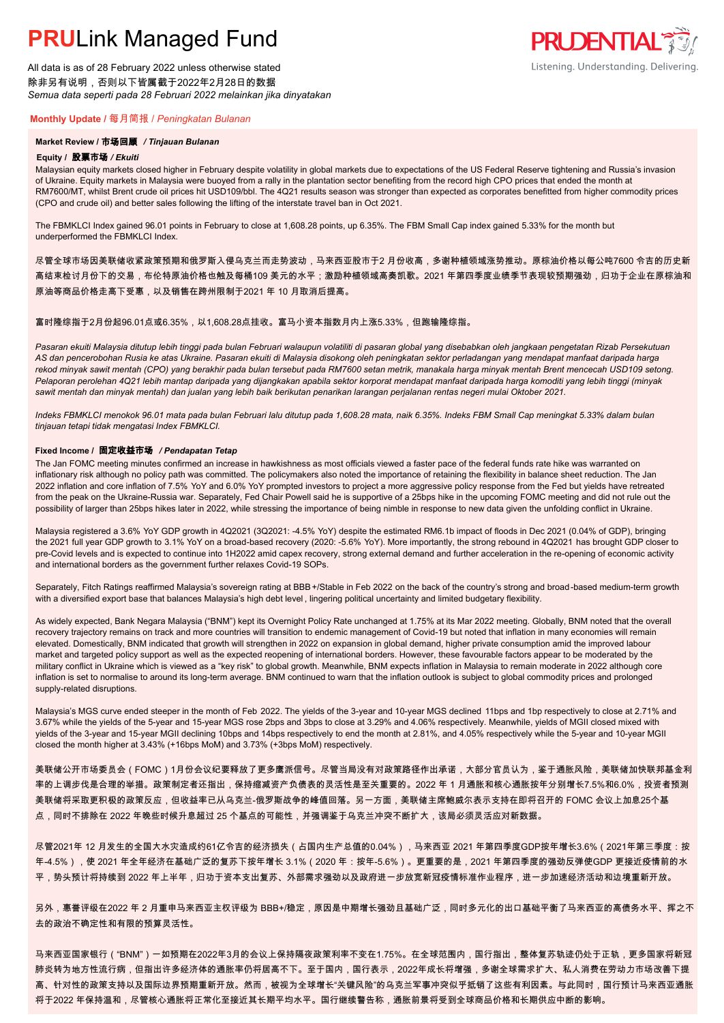All data is as of 28 February 2022 unless otherwise stated 除非另有说明,否则以下皆属截于2022年2月28日的数据 *Semua data seperti pada 28 Februari 2022 melainkan jika dinyatakan*

### **Monthly Update /** 每月简报 / *Peningkatan Bulanan*

### **Market Review /** 市场回顾 */ Tinjauan Bulanan*

#### **Equity /** 股票市场 */ Ekuiti.*

Malaysian equity markets closed higher in February despite volatility in global markets due to expectations of the US Federal Reserve tightening and Russia's invasion of Ukraine. Equity markets in Malaysia were buoyed from a rally in the plantation sector benefiting from the record high CPO prices that ended the month at RM7600/MT, whilst Brent crude oil prices hit USD109/bbl. The 4Q21 results season was stronger than expected as corporates benefitted from higher commodity prices (CPO and crude oil) and better sales following the lifting of the interstate travel ban in Oct 2021.

**PRUDENTIAL** 

Listening. Understanding. Delivering.

The FBMKLCI Index gained 96.01 points in February to close at 1,608.28 points, up 6.35%. The FBM Small Cap index gained 5.33% for the month but underperformed the FBMKLCI Index.

尽管全球市场因美联储收紧政策预期和俄罗斯入侵乌克兰而走势波动,马来西亚股市于2 月份收高,多谢种植领域涨势推动。原棕油价格以每公吨7600 令吉的历史新 高结束检讨月份下的交易,布伦特原油价格也触及每桶109 美元的水平;激励种植领域高奏凯歌。2021 年第四季度业绩季节表现较预期强劲,归功于企业在原棕油和 原油等商品价格走高下受惠,以及销售在跨州限制于2021 年 10 月取消后提高。

### 富时隆综指于2月份起96.01点或6.35%,以1,608.28点挂收。富马小资本指数月内上涨5.33%,但跑输隆综指。

*Pasaran ekuiti Malaysia ditutup lebih tinggi pada bulan Februari walaupun volatiliti di pasaran global yang disebabkan oleh jangkaan pengetatan Rizab Persekutuan AS dan pencerobohan Rusia ke atas Ukraine. Pasaran ekuiti di Malaysia disokong oleh peningkatan sektor perladangan yang mendapat manfaat daripada harga rekod minyak sawit mentah (CPO) yang berakhir pada bulan tersebut pada RM7600 setan metrik, manakala harga minyak mentah Brent mencecah USD109 setong. Pelaporan perolehan 4Q21 lebih mantap daripada yang dijangkakan apabila sektor korporat mendapat manfaat daripada harga komoditi yang lebih tinggi (minyak sawit mentah dan minyak mentah) dan jualan yang lebih baik berikutan penarikan larangan perjalanan rentas negeri mulai Oktober 2021.*

*Indeks FBMKLCI menokok 96.01 mata pada bulan Februari lalu ditutup pada 1,608.28 mata, naik 6.35%. Indeks FBM Small Cap meningkat 5.33% dalam bulan tinjauan tetapi tidak mengatasi Index FBMKLCI.*

#### **Fixed Income /** 固定收益市场 */ Pendapatan Tetap*

*.* The Jan FOMC meeting minutes confirmed an increase in hawkishness as most officials viewed a faster pace of the federal funds rate hike was warranted on inflationary risk although no policy path was committed. The policymakers also noted the importance of retaining the flexibility in balance sheet reduction. The Jan 2022 inflation and core inflation of 7.5% YoY and 6.0% YoY prompted investors to project a more aggressive policy response from the Fed but yields have retreated from the peak on the Ukraine-Russia war. Separately, Fed Chair Powell said he is supportive of a 25bps hike in the upcoming FOMC meeting and did not rule out the possibility of larger than 25bps hikes later in 2022, while stressing the importance of being nimble in response to new data given the unfolding conflict in Ukraine.

Malaysia registered a 3.6% YoY GDP growth in 4Q2021 (3Q2021: -4.5% YoY) despite the estimated RM6.1b impact of floods in Dec 2021 (0.04% of GDP), bringing the 2021 full year GDP growth to 3.1% YoY on a broad-based recovery (2020: -5.6% YoY). More importantly, the strong rebound in 4Q2021 has brought GDP closer to pre-Covid levels and is expected to continue into 1H2022 amid capex recovery, strong external demand and further acceleration in the re-opening of economic activity and international borders as the government further relaxes Covid-19 SOPs.

Separately, Fitch Ratings reaffirmed Malaysia's sovereign rating at BBB+/Stable in Feb 2022 on the back of the country's strong and broad-based medium-term growth with a diversified export base that balances Malaysia's high debt level , lingering political uncertainty and limited budgetary flexibility.

As widely expected, Bank Negara Malaysia ("BNM") kept its Overnight Policy Rate unchanged at 1.75% at its Mar 2022 meeting. Globally, BNM noted that the overall recovery trajectory remains on track and more countries will transition to endemic management of Covid-19 but noted that inflation in many economies will remain elevated. Domestically, BNM indicated that growth will strengthen in 2022 on expansion in global demand, higher private consumption amid the improved labour market and targeted policy support as well as the expected reopening of international borders. However, these favourable factors appear to be moderated by the military conflict in Ukraine which is viewed as a "key risk" to global growth. Meanwhile, BNM expects inflation in Malaysia to remain moderate in 2022 although core inflation is set to normalise to around its long-term average. BNM continued to warn that the inflation outlook is subject to global commodity prices and prolonged supply-related disruptions.

Malaysia's MGS curve ended steeper in the month of Feb 2022. The yields of the 3-year and 10-year MGS declined 11bps and 1bp respectively to close at 2.71% and 3.67% while the yields of the 5-year and 15-year MGS rose 2bps and 3bps to close at 3.29% and 4.06% respectively. Meanwhile, yields of MGII closed mixed with yields of the 3-year and 15-year MGII declining 10bps and 14bps respectively to end the month at 2.81%, and 4.05% respectively while the 5-year and 10-year MGII closed the month higher at 3.43% (+16bps MoM) and 3.73% (+3bps MoM) respectively.

美联储公开市场委员会(FOMC)1月份会议纪要释放了更多鹰派信号。尽管当局没有对政策路径作出承诺,大部分官员认为,鉴于通胀风险,美联储加快联邦基金利 率的上调步伐是合理的举措。政策制定者还指出,保持缩减资产负债表的灵活性是至关重要的。2022 年 1 月通胀和核心通胀按年分别增长7.5%和6.0%,投资者预测 美联储将采取更积极的政策反应,但收益率已从乌克兰-俄罗斯战争的峰值回落。另一方面,美联储主席鲍威尔表示支持在即将召开的 FOMC 会议上加息25个基 点,同时不排除在 2022 年晚些时候升息超过 25 个基点的可能性,并强调鉴于乌克兰冲突不断扩大,该局必须灵活应对新数据。

尽管2021年 12 月发生的全国大水灾造成约61亿令吉的经济损失(占国内生产总值的0.04%),马来西亚 2021 年第四季度GDP按年增长3.6%(2021年第三季度:按 年-4.5%),使 2021 年全年经济在基础广泛的复苏下按年增长 3.1%(2020 年:按年-5.6%)。更重要的是,2021 年第四季度的强劲反弹使GDP 更接近疫情前的水 平,势头预计将持续到 2022 年上半年,归功于资本支出复苏、外部需求强劲以及政府进一步放宽新冠疫情标准作业程序,进一步加速经济活动和边境重新开放。

另外,惠誉评级在2022 年 2 月重申马来西亚主权评级为 BBB+/稳定,原因是中期增长强劲且基础广泛,同时多元化的出口基础平衡了马来西亚的高债务水平、挥之不 去的政治不确定性和有限的预算灵活性。

马来西亚国家银行("BNM")一如预期在2022年3月的会议上保持隔夜政策利率不变在1.75%。在全球范围内,国行指出,整体复苏轨迹仍处于正轨,更多国家将新冠 肺炎转为地方性流行病,但指出许多经济体的通胀率仍将居高不下。至于国内,国行表示,2022年成长将增强,多谢全球需求扩大、私人消费在劳动力市场改善下提 高、针对性的政策支持以及国际边界预期重新开放。然而,被视为全球增长"关键风险"的乌克兰军事冲突似乎抵销了这些有利因素。与此同时,国行预计马来西亚通胀 将于2022 年保持温和,尽管核心通胀将正常化至接近其长期平均水平。国行继续警告称,通胀前景将受到全球商品价格和长期供应中断的影响。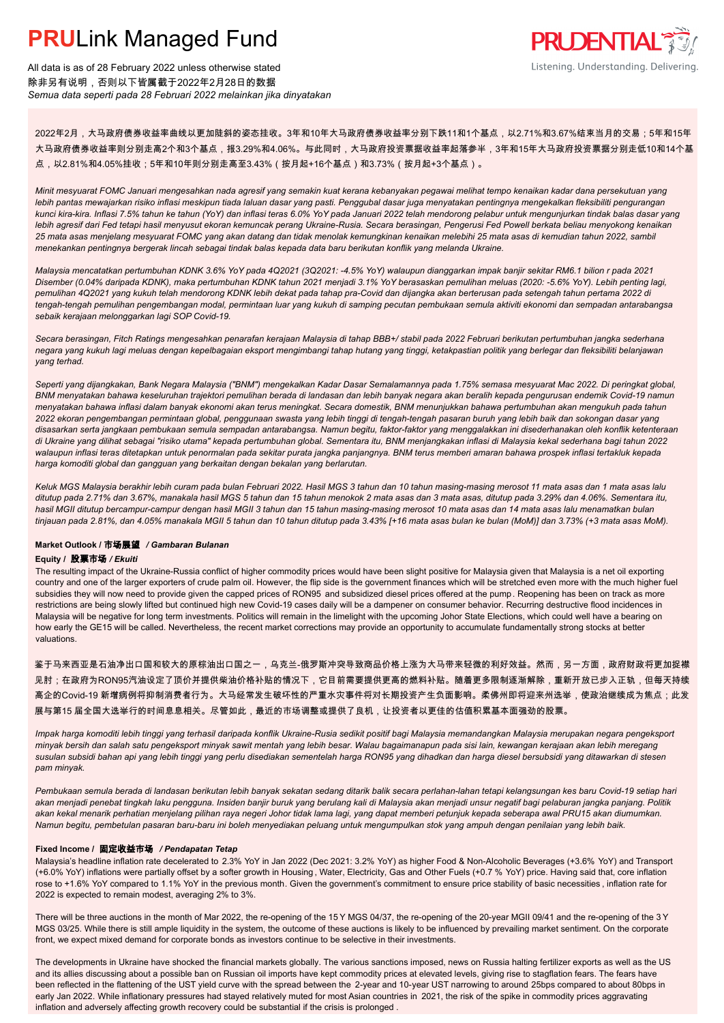

All data is as of 28 February 2022 unless otherwise stated 除非另有说明,否则以下皆属截于2022年2月28日的数据 *Semua data seperti pada 28 Februari 2022 melainkan jika dinyatakan*

2022年2月,大马政府债券收益率曲线以更加陡斜的姿态挂收。3年和10年大马政府债券收益率分别下跌11和1个基点,以2.71%和3.67%结束当月的交易;5年和15年 大马政府债券收益率则分别走高2个和3个基点,报3.29%和4.06%。与此同时,大马政府投资票据收益率起落参半,3年和15年大马政府投资票据分别走低10和14个基 点,以2.81%和4.05%挂收;5年和10年则分别走高至3.43%(按月起+16个基点)和3.73%(按月起+3个基点)。

*Minit mesyuarat FOMC Januari mengesahkan nada agresif yang semakin kuat kerana kebanyakan pegawai melihat tempo kenaikan kadar dana persekutuan yang lebih pantas mewajarkan risiko inflasi meskipun tiada laluan dasar yang pasti. Penggubal dasar juga menyatakan pentingnya mengekalkan fleksibiliti pengurangan kunci kira-kira. Inflasi 7.5% tahun ke tahun (YoY) dan inflasi teras 6.0% YoY pada Januari 2022 telah mendorong pelabur untuk mengunjurkan tindak balas dasar yang lebih agresif dari Fed tetapi hasil menyusut ekoran kemuncak perang Ukraine-Rusia. Secara berasingan, Pengerusi Fed Powell berkata beliau menyokong kenaikan 25 mata asas menjelang mesyuarat FOMC yang akan datang dan tidak menolak kemungkinan kenaikan melebihi 25 mata asas di kemudian tahun 2022, sambil menekankan pentingnya bergerak lincah sebagai tindak balas kepada data baru berikutan konflik yang melanda Ukraine.*

*Malaysia mencatatkan pertumbuhan KDNK 3.6% YoY pada 4Q2021 (3Q2021: -4.5% YoY) walaupun dianggarkan impak banjir sekitar RM6.1 bilion r pada 2021 Disember (0.04% daripada KDNK), maka pertumbuhan KDNK tahun 2021 menjadi 3.1% YoY berasaskan pemulihan meluas (2020: -5.6% YoY). Lebih penting lagi, pemulihan 4Q2021 yang kukuh telah mendorong KDNK lebih dekat pada tahap pra-Covid dan dijangka akan berterusan pada setengah tahun pertama 2022 di tengah-tengah pemulihan pengembangan modal, permintaan luar yang kukuh di samping pecutan pembukaan semula aktiviti ekonomi dan sempadan antarabangsa sebaik kerajaan melonggarkan lagi SOP Covid-19.*

*Secara berasingan, Fitch Ratings mengesahkan penarafan kerajaan Malaysia di tahap BBB+/ stabil pada 2022 Februari berikutan pertumbuhan jangka sederhana negara yang kukuh lagi meluas dengan kepelbagaian eksport mengimbangi tahap hutang yang tinggi, ketakpastian politik yang berlegar dan fleksibiliti belanjawan yang terhad.*

*Seperti yang dijangkakan, Bank Negara Malaysia ("BNM") mengekalkan Kadar Dasar Semalamannya pada 1.75% semasa mesyuarat Mac 2022. Di peringkat global, BNM menyatakan bahawa keseluruhan trajektori pemulihan berada di landasan dan lebih banyak negara akan beralih kepada pengurusan endemik Covid-19 namun menyatakan bahawa inflasi dalam banyak ekonomi akan terus meningkat. Secara domestik, BNM menunjukkan bahawa pertumbuhan akan mengukuh pada tahun 2022 ekoran pengembangan permintaan global, penggunaan swasta yang lebih tinggi di tengah-tengah pasaran buruh yang lebih baik dan sokongan dasar yang disasarkan serta jangkaan pembukaan semula sempadan antarabangsa. Namun begitu, faktor-faktor yang menggalakkan ini disederhanakan oleh konflik ketenteraan di Ukraine yang dilihat sebagai "risiko utama" kepada pertumbuhan global. Sementara itu, BNM menjangkakan inflasi di Malaysia kekal sederhana bagi tahun 2022 walaupun inflasi teras ditetapkan untuk penormalan pada sekitar purata jangka panjangnya. BNM terus memberi amaran bahawa prospek inflasi tertakluk kepada harga komoditi global dan gangguan yang berkaitan dengan bekalan yang berlarutan.*

*Keluk MGS Malaysia berakhir lebih curam pada bulan Februari 2022. Hasil MGS 3 tahun dan 10 tahun masing-masing merosot 11 mata asas dan 1 mata asas lalu ditutup pada 2.71% dan 3.67%, manakala hasil MGS 5 tahun dan 15 tahun menokok 2 mata asas dan 3 mata asas, ditutup pada 3.29% dan 4.06%. Sementara itu, hasil MGII ditutup bercampur-campur dengan hasil MGII 3 tahun dan 15 tahun masing-masing merosot 10 mata asas dan 14 mata asas lalu menamatkan bulan tinjauan pada 2.81%, dan 4.05% manakala MGII 5 tahun dan 10 tahun ditutup pada 3.43% [+16 mata asas bulan ke bulan (MoM)] dan 3.73% (+3 mata asas MoM).*

#### **Market Outlook /** 市场展望 */ Gambaran Bulanan*

#### **Equity /** 股票市场 */ Ekuiti .*

The resulting impact of the Ukraine-Russia conflict of higher commodity prices would have been slight positive for Malaysia given that Malaysia is a net oil exporting country and one of the larger exporters of crude palm oil. However, the flip side is the government finances which will be stretched even more with the much higher fuel subsidies they will now need to provide given the capped prices of RON95 and subsidized diesel prices offered at the pump. Reopening has been on track as more restrictions are being slowly lifted but continued high new Covid-19 cases daily will be a dampener on consumer behavior. Recurring destructive flood incidences in Malaysia will be negative for long term investments. Politics will remain in the limelight with the upcoming Johor State Elections, which could well have a bearing on how early the GE15 will be called. Nevertheless, the recent market corrections may provide an opportunity to accumulate fundamentally strong stocks at better valuations.

鉴于马来西亚是石油净出口国和较大的原棕油出口国之一,乌克兰-俄罗斯冲突导致商品价格上涨为大马带来轻微的利好效益。然而,另一方面,政府财政将更加捉襟 <mark>见肘;在政府为RON95汽油设定了顶价并提供柴油价格补贴的情况下,它目前需要提供更高的燃料补贴。随着更多限制逐渐解除,重新开放已步入正轨,但每天持续</mark> 高企的Covid-19 新增病例将抑制消费者行为。大马经常发生破坏性的严重水灾事件将对长期投资产生负面影响。柔佛州即将迎来州选举,使政治继续成为焦点;此发 展与第15 届全国大选举行的时间息息相关。尽管如此,最近的市场调整或提供了良机,让投资者以更佳的估值积累基本面强劲的股票。

*Impak harga komoditi lebih tinggi yang terhasil daripada konflik Ukraine-Rusia sedikit positif bagi Malaysia memandangkan Malaysia merupakan negara pengeksport minyak bersih dan salah satu pengeksport minyak sawit mentah yang lebih besar. Walau bagaimanapun pada sisi lain, kewangan kerajaan akan lebih meregang susulan subsidi bahan api yang lebih tinggi yang perlu disediakan sementelah harga RON95 yang dihadkan dan harga diesel bersubsidi yang ditawarkan di stesen pam minyak.*

*Pembukaan semula berada di landasan berikutan lebih banyak sekatan sedang ditarik balik secara perlahan-lahan tetapi kelangsungan kes baru Covid-19 setiap hari akan menjadi penebat tingkah laku pengguna. Insiden banjir buruk yang berulang kali di Malaysia akan menjadi unsur negatif bagi pelaburan jangka panjang. Politik akan kekal menarik perhatian menjelang pilihan raya negeri Johor tidak lama lagi, yang dapat memberi petunjuk kepada seberapa awal PRU15 akan diumumkan. Namun begitu, pembetulan pasaran baru-baru ini boleh menyediakan peluang untuk mengumpulkan stok yang ampuh dengan penilaian yang lebih baik.*

### **Fixed Income /** 固定收益市场 */ Pendapatan Tetap*

*.* Malaysia's headline inflation rate decelerated to 2.3% YoY in Jan 2022 (Dec 2021: 3.2% YoY) as higher Food & Non-Alcoholic Beverages (+3.6% YoY) and Transport (+6.0% YoY) inflations were partially offset by a softer growth in Housing , Water, Electricity, Gas and Other Fuels (+0.7 % YoY) price. Having said that, core inflation rose to +1.6% YoY compared to 1.1% YoY in the previous month. Given the government's commitment to ensure price stability of basic necessities , inflation rate for 2022 is expected to remain modest, averaging 2% to 3%.

There will be three auctions in the month of Mar 2022, the re-opening of the 15 Y MGS 04/37, the re-opening of the 20-year MGII 09/41 and the re-opening of the 3 Y MGS 03/25. While there is still ample liquidity in the system, the outcome of these auctions is likely to be influenced by prevailing market sentiment. On the corporate front, we expect mixed demand for corporate bonds as investors continue to be selective in their investments.

The developments in Ukraine have shocked the financial markets globally. The various sanctions imposed, news on Russia halting fertilizer exports as well as the US and its allies discussing about a possible ban on Russian oil imports have kept commodity prices at elevated levels, giving rise to stagflation fears. The fears have been reflected in the flattening of the UST yield curve with the spread between the 2-year and 10-year UST narrowing to around 25bps compared to about 80bps in early Jan 2022. While inflationary pressures had stayed relatively muted for most Asian countries in 2021, the risk of the spike in commodity prices aggravating inflation and adversely affecting growth recovery could be substantial if the crisis is prolonged .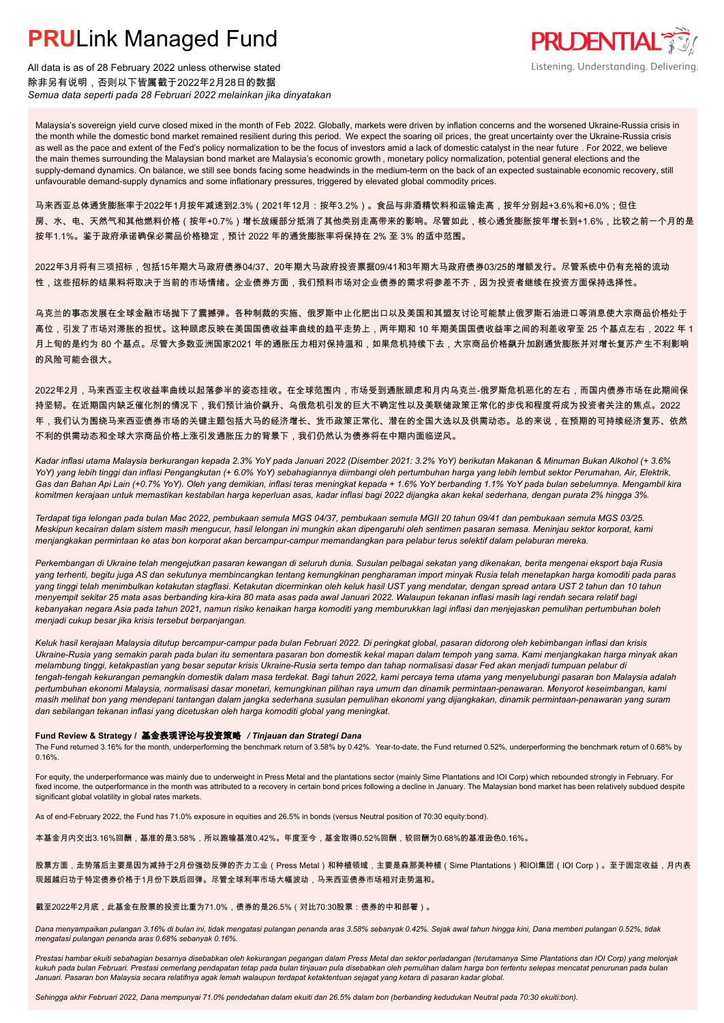

All data is as of 28 February 2022 unless otherwise stated 除非另有说明,否则以下皆属截于2022年2月28日的数据 *Semua data seperti pada 28 Februari 2022 melainkan jika dinyatakan*

Malaysia's sovereign yield curve closed mixed in the month of Feb 2022. Globally, markets were driven by inflation concerns and the worsened Ukraine-Russia crisis in the month while the domestic bond market remained resilient during this period. We expect the soaring oil prices, the great uncertainty over the Ukraine-Russia crisis as well as the pace and extent of the Fed's policy normalization to be the focus of investors amid a lack of domestic catalyst in the near future . For 2022, we believe the main themes surrounding the Malaysian bond market are Malaysia's economic growth , monetary policy normalization, potential general elections and the supply-demand dynamics. On balance, we still see bonds facing some headwinds in the medium-term on the back of an expected sustainable economic recovery, still unfavourable demand-supply dynamics and some inflationary pressures, triggered by elevated global commodity prices.

马来西亚总体通货膨胀率于2022年1月按年减速到2.3%(2021年12月:按年3.2%)。食品与非酒精饮料和运输走高,按年分别起+3.6%和+6.0%;但住 房、水、电、天然气和其他燃料价格(按年+0.7%)增长放缓部分抵消了其他类别走高带来的影响。尽管如此,核心通货膨胀按年增长到+1.6%,比较之前一个月的是 按年1.1%。鉴于政府承诺确保必需品价格稳定,预计 2022 年的通货膨胀率将保持在 2% 至 3% 的适中范围。

2022年3月将有三项招标,包括15年期大马政府债券04/37、20年期大马政府投资票据09/41和3年期大马政府债券03/25的增额发行。尽管系统中仍有充裕的流动 性,这些招标的结果料将取决于当前的市场情绪。企业债券方面,我们预料市场对企业债券的需求将参差不齐,因为投资者继续在投资方面保持选择性。

乌克兰的事态发展在全球金融市场抛下了震撼弹。各种制裁的实施、俄罗斯中止化肥出口以及美国和其盟友讨论可能禁止俄罗斯石油进口等消息使大宗商品价格处于 高位,引发了市场对滞胀的担忧。这种顾虑反映在美国国债收益率曲线的趋平走势上,两年期和 10 年期美国国债收益率之间的利差收窄至 25 个基点左右,2022 年 1 月上旬的是约为 80 个基点。尽管大多数亚洲国家2021 年的通胀压力相对保持温和,如果危机持续下去,大宗商品价格飙升加剧通货膨胀并对增长复苏产生不利影响 的风险可能会很大。

2022年2月,马来西亚主权收益率曲线以起落参半的姿态挂收。在全球范围内,市场受到通胀顾虑和月内乌克兰-俄罗斯危机恶化的左右,而国内债券市场在此期间保 持坚韧。在近期国内缺乏催化剂的情况下,我们预计油价飙升、乌俄危机引发的巨大不确定性以及美联储政策正常化的步伐和程度将成为投资者关注的焦点。2022 年,我们认为围绕马来西亚债券市场的关键主题包括大马的经济增长、货币政策正常化、潜在的全国大选以及供需动态。总的来说,在预期的可持续经济复苏、依然 不利的供需动态和全球大宗商品价格上涨引发通胀压力的背景下,我们仍然认为债券将在中期内面临逆风。

*Kadar inflasi utama Malaysia berkurangan kepada 2.3% YoY pada Januari 2022 (Disember 2021: 3.2% YoY) berikutan Makanan & Minuman Bukan Alkohol (+ 3.6% YoY) yang lebih tinggi dan inflasi Pengangkutan (+ 6.0% YoY) sebahagiannya diimbangi oleh pertumbuhan harga yang lebih lembut sektor Perumahan, Air, Elektrik, Gas dan Bahan Api Lain (+0.7% YoY). Oleh yang demikian, inflasi teras meningkat kepada + 1.6% YoY berbanding 1.1% YoY pada bulan sebelumnya. Mengambil kira komitmen kerajaan untuk memastikan kestabilan harga keperluan asas, kadar inflasi bagi 2022 dijangka akan kekal sederhana, dengan purata 2% hingga 3%.*

*Terdapat tiga lelongan pada bulan Mac 2022, pembukaan semula MGS 04/37, pembukaan semula MGII 20 tahun 09/41 dan pembukaan semula MGS 03/25. Meskipun kecairan dalam sistem masih mengucur, hasil lelongan ini mungkin akan dipengaruhi oleh sentimen pasaran semasa. Meninjau sektor korporat, kami menjangkakan permintaan ke atas bon korporat akan bercampur-campur memandangkan para pelabur terus selektif dalam pelaburan mereka.*

*Perkembangan di Ukraine telah mengejutkan pasaran kewangan di seluruh dunia. Susulan pelbagai sekatan yang dikenakan, berita mengenai eksport baja Rusia yang terhenti, begitu juga AS dan sekutunya membincangkan tentang kemungkinan pengharaman import minyak Rusia telah menetapkan harga komoditi pada paras yang tinggi telah menimbulkan ketakutan stagflasi. Ketakutan dicerminkan oleh keluk hasil UST yang mendatar, dengan spread antara UST 2 tahun dan 10 tahun menyempit sekitar 25 mata asas berbanding kira-kira 80 mata asas pada awal Januari 2022. Walaupun tekanan inflasi masih lagi rendah secara relatif bagi kebanyakan negara Asia pada tahun 2021, namun risiko kenaikan harga komoditi yang memburukkan lagi inflasi dan menjejaskan pemulihan pertumbuhan boleh menjadi cukup besar jika krisis tersebut berpanjangan.*

*Keluk hasil kerajaan Malaysia ditutup bercampur-campur pada bulan Februari 2022. Di peringkat global, pasaran didorong oleh kebimbangan inflasi dan krisis Ukraine-Rusia yang semakin parah pada bulan itu sementara pasaran bon domestik kekal mapan dalam tempoh yang sama. Kami menjangkakan harga minyak akan melambung tinggi, ketakpastian yang besar seputar krisis Ukraine-Rusia serta tempo dan tahap normalisasi dasar Fed akan menjadi tumpuan pelabur di tengah-tengah kekurangan pemangkin domestik dalam masa terdekat. Bagi tahun 2022, kami percaya tema utama yang menyelubungi pasaran bon Malaysia adalah pertumbuhan ekonomi Malaysia, normalisasi dasar monetari, kemungkinan pilihan raya umum dan dinamik permintaan-penawaran. Menyorot keseimbangan, kami masih melihat bon yang mendepani tantangan dalam jangka sederhana susulan pemulihan ekonomi yang dijangkakan, dinamik permintaan-penawaran yang suram dan sebilangan tekanan inflasi yang dicetuskan oleh harga komoditi global yang meningkat.*

### **Fund Review & Strategy /** 基金表现评论与投资策略 */ Tinjauan dan Strategi Dana*

The Fund returned 3.16% for the month, underperforming the benchmark return of 3.58% by 0.42%. Year-to-date, the Fund returned 0.52%, underperforming the benchmark return of 0.68% by 0.16%.

For equity, the underperformance was mainly due to underweight in Press Metal and the plantations sector (mainly Sime Plantations and IOI Corp) which rebounded strongly in February. For fixed income, the outperformance in the month was attributed to a recovery in certain bond prices following a decline in January. The Malaysian bond market has been relatively subdued despite significant global volatility in global rates markets.

As of end-February 2022, the Fund has 71.0% exposure in equities and 26.5% in bonds (versus Neutral position of 70:30 equity:bond).

本基金月内交出3.16%回酬,基准的是3.58%,所以跑输基准0.42%。年度至今,基金取得0.52%回酬,较回酬为0.68%的基准逊色0.16%。

股票方面,走势落后主要是因为减持于2月份强劲反弹的齐力工业(Press Metal)和种植领域,主要是森那美种植(Sime Plantations)和IOI集团(IOI Corp)。至于固定收益,月内表 现超越归功于特定债券价格于1月份下跌后回弹。尽管全球利率市场大幅波动,马来西亚债券市场相对走势温和。

### 截至2022年2月底,此基金在股票的投资比重为71.0%,债券的是26.5%(对比70:30股票:债券的中和部署)。

*Dana menyampaikan pulangan 3.16% di bulan ini, tidak mengatasi pulangan penanda aras 3.58% sebanyak 0.42%. Sejak awal tahun hingga kini, Dana memberi pulangan 0.52%, tidak mengatasi pulangan penanda aras 0.68% sebanyak 0.16%.*

*Prestasi hambar ekuiti sebahagian besarnya disebabkan oleh kekurangan pegangan dalam Press Metal dan sektor perladangan (terutamanya Sime Plantations dan IOI Corp) yang melonjak kukuh pada bulan Februari. Prestasi cemerlang pendapatan tetap pada bulan tinjauan pula disebabkan oleh pemulihan dalam harga bon tertentu selepas mencatat penurunan pada bulan Januari. Pasaran bon Malaysia secara relatifnya agak lemah walaupun terdapat ketaktentuan sejagat yang ketara di pasaran kadar global.*

*Sehingga akhir Februari 2022, Dana mempunyai 71.0% pendedahan dalam ekuiti dan 26.5% dalam bon (berbanding kedudukan Neutral pada 70:30 ekuiti:bon).*